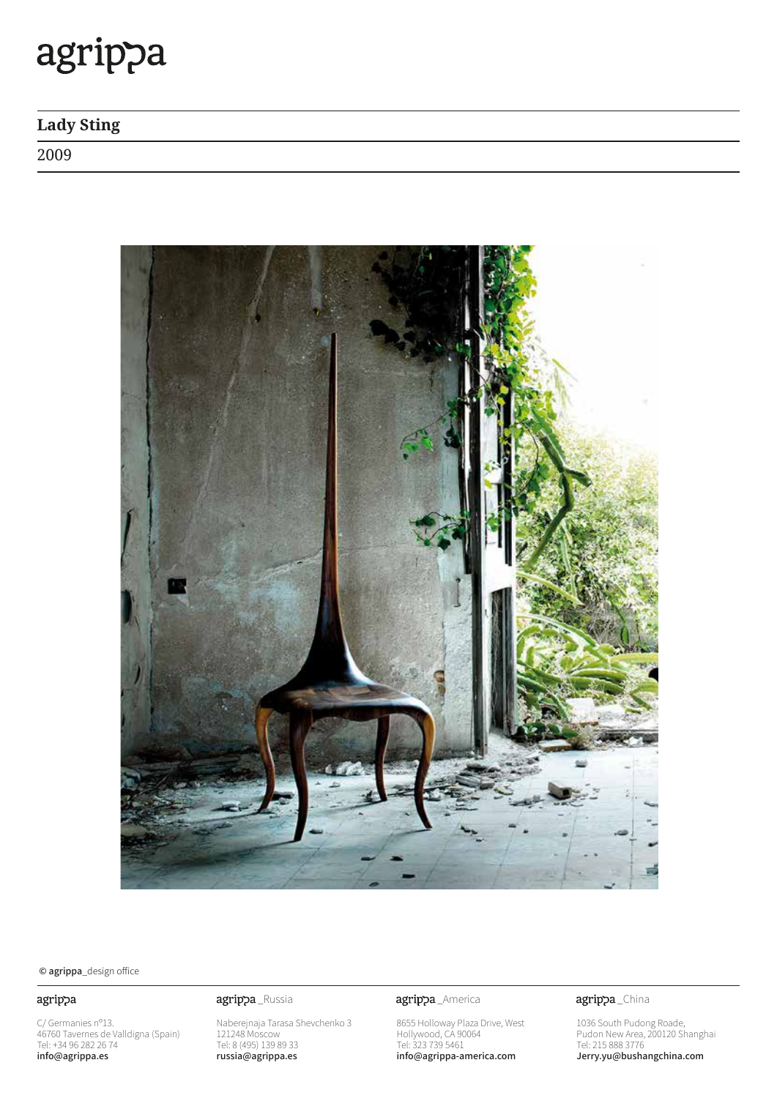## agrippa

## Lady Sting

2009



 $\odot$  agrippa\_design office

### agrippa

C/ Germanies n°13. 46760 Tavernes de Valldigna (Spain)<br>Tel: +34 96 282 26 74 info@agrippa.es

Naberejnaja Tarasa Shevchenko 3 121248 Moscow Tel: 8 (495) 139 89 33 russia@agrippa.es

agrippa\_Russia **agrippa**\_America

8655 Holloway Plaza Drive, West Hollywood, CA 90064 Tel: 323 739 5461 info@agrippa-america.com

agrippa\_China

1036 South Pudong Roade, Pudon New Area, 200120 Shanghai  $1e$ l: 215 888 3776 Jerry.yu@bushangchina.com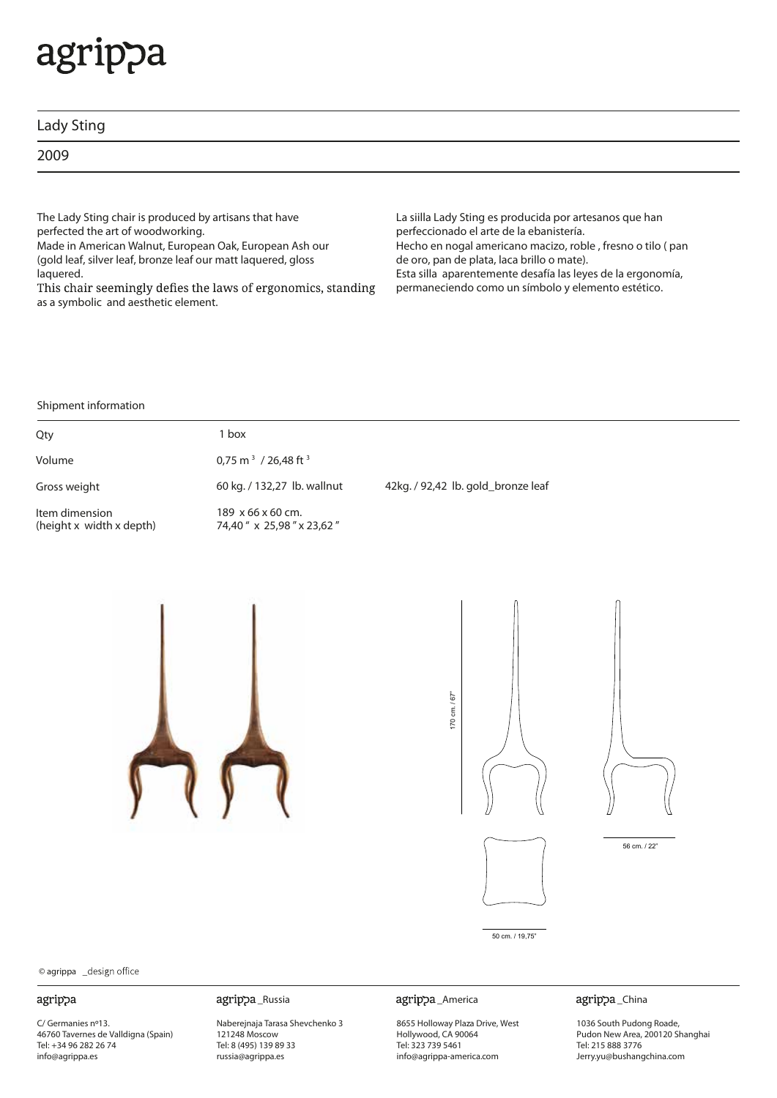# agrippa

| Lady Sting |  |  |  |
|------------|--|--|--|
| 2009       |  |  |  |

The Lady Sting chair is produced by artisans that have perfected the art of woodworking.

Made in American Walnut, European Oak, European Ash our (gold leaf, silver leaf, bronze leaf our matt laquered, gloss laquered.

This chair seemingly defies the laws of ergonomics, standing as a symbolic and aesthetic element.

La siilla Lady Sting es producida por artesanos que han perfeccionado el arte de la ebanistería. Hecho en nogal americano macizo, roble , fresno o tilo ( pan de oro, pan de plata, laca brillo o mate). Esta silla aparentemente desafía las leyes de la ergonomía, permaneciendo como un símbolo y elemento estético.

#### Shipment information

| Qty                                        | 1 box                                            |                                    |
|--------------------------------------------|--------------------------------------------------|------------------------------------|
| Volume                                     | 0,75 m <sup>3</sup> / 26,48 ft <sup>3</sup>      |                                    |
| Gross weight                               | 60 kg. / 132,27 lb. wallnut                      | 42kg. / 92,42 lb. gold_bronze leaf |
| Item dimension<br>(height x width x depth) | 189 x 66 x 60 cm.<br>74,40 " x 25,98 " x 23,62 " |                                    |













50 cm. / 19,75"

### © agrippa

#### agrippa

C/ Germanies nº13. 46760 Tavernes de Valldigna (Spain) Tel: +34 96 282 26 74 info@agrippa.es

Naberejnaja Tarasa Shevchenko 3 121248 Moscow Tel: 8 (495) 139 89 33 russia@agrippa.es

#### \_Russia \_America

8655 Holloway Plaza Drive, West Hollywood, CA 90064 Tel: 323 739 5461 info@agrippa-america.com

#### agrippa\_China

1036 South Pudong Roade, Pudon New Area, 200120 Shanghai Tel: 215 888 3776 Jerry.yu@bushangchina.com